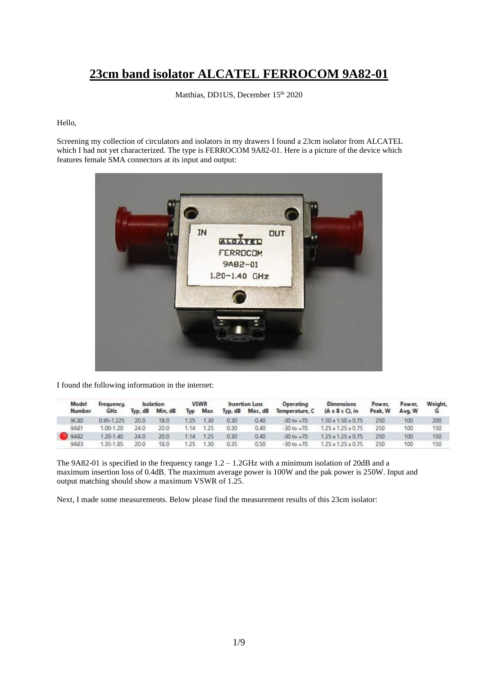## **23cm band isolator ALCATEL FERROCOM 9A82-01**

Matthias, DD1US, December 15<sup>th</sup> 2020

## Hello,

Screening my collection of circulators and isolators in my drawers I found a 23cm isolator from ALCATEL which I had not yet characterized. The type is FERROCOM 9A82-01. Here is a picture of the device which features female SMA connectors at its input and output:



I found the following information in the internet:

|  | Model<br>Number | <b>Frequency</b><br>GHz | <b>Isolation</b> |         | <b>VSWR</b> |         | Insertion Loss |                 | Operating      | Dimensions                     | Power,  | Power. | Weight, |
|--|-----------------|-------------------------|------------------|---------|-------------|---------|----------------|-----------------|----------------|--------------------------------|---------|--------|---------|
|  |                 |                         | Typ, dB          | Min. dB |             | Typ Max |                | Typ, dB Max, dB | Temperature, C | $(A \times B \times C)$ , in   | Peak, W | Avg, W |         |
|  | 9C80            | 0.95-1.225              | 20.0             | 18.0    | 1.25        | 1.30    | 0.30           | 0.40            | $-30$ to $+70$ | $1.50 \times 1.50 \times 0.75$ | 250     | 100    | 200     |
|  | <b>18A9</b>     | 1.00-1.20               | 24.0             | 20.0    | 1.14        | 1.25    | 0.30           | 0.40            | $-30$ to $+70$ | $1.25 \times 1.25 \times 0.75$ | 250     | 100    | 150     |
|  | 9A82            | 1.20-1.40               | 24.0             | 20.0    | 1.14        | 1.25    | 0.30           | 0.40            | $-30$ to $+70$ | $1.75 \times 1.75 \times 0.75$ | 250     | 100    | 150     |
|  | 9A83            | 1.35-1.85               | 20.0             | 18.0    | -75 -       | 1.30    | 0.35           | 0.50            | $-30$ to $+70$ | $1.25 \times 1.25 \times 0.75$ | 250     | 100    | 150     |

The 9A82-01 is specified in the frequency range 1.2 – 1.2GHz with a minimum isolation of 20dB and a maximum insertion loss of 0.4dB. The maximum average power is 100W and the pak power is 250W. Input and output matching should show a maximum VSWR of 1.25.

Next, I made some measurements. Below please find the measurement results of this 23cm isolator: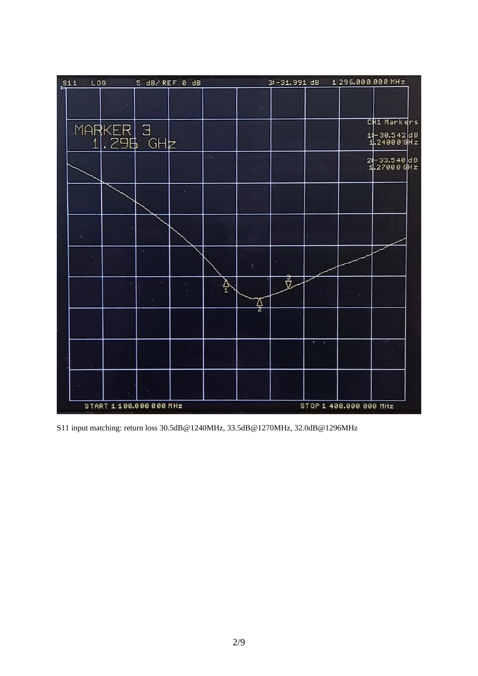

S11 input matching: return loss 30.5dB@1240MHz, 33.5dB@1270MHz, 32.0dB@1296MHz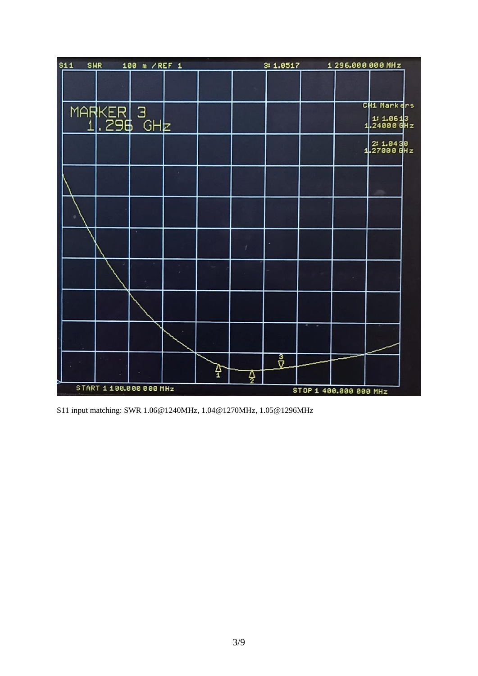

S11 input matching: SWR 1.06@1240MHz, 1.04@1270MHz, 1.05@1296MHz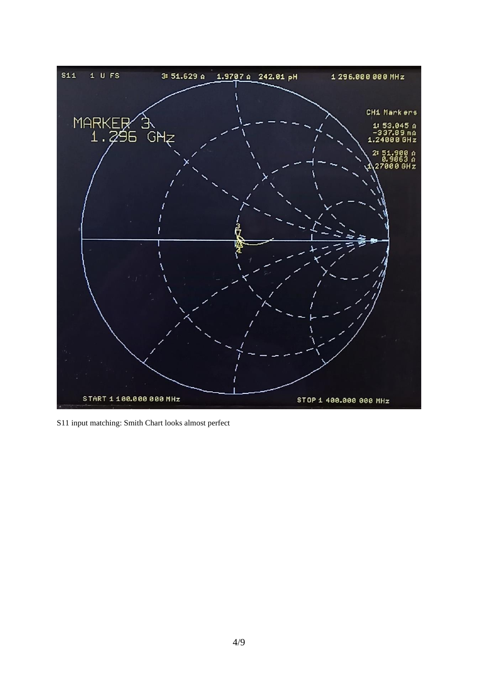

S11 input matching: Smith Chart looks almost perfect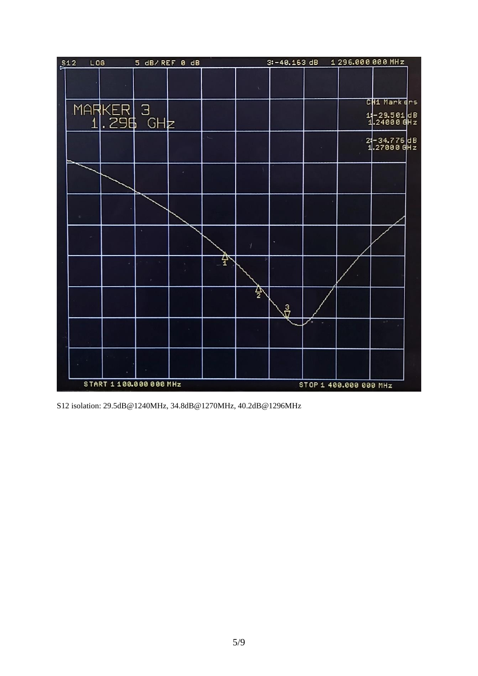

S12 isolation: 29.5dB@1240MHz, 34.8dB@1270MHz, 40.2dB@1296MHz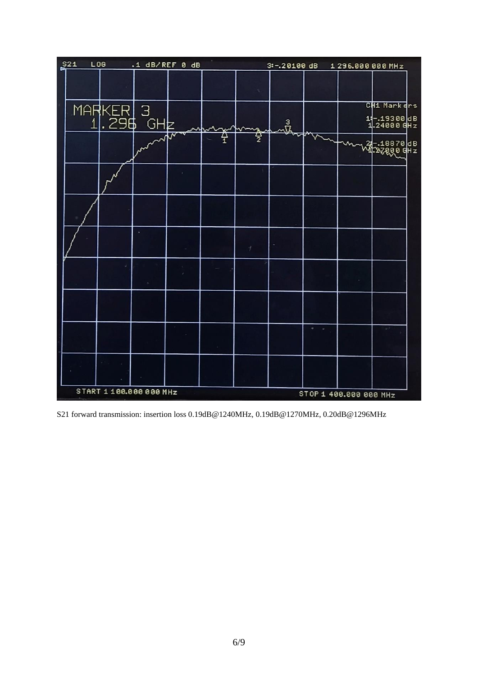| \$21 | L06                   | .1 dB/REF 0 dB |   |   | $3: -20100$ dB |   | 1 296.000 000 MHz |                                              |
|------|-----------------------|----------------|---|---|----------------|---|-------------------|----------------------------------------------|
|      |                       |                |   |   |                |   |                   |                                              |
|      | MARKER 3<br>1,296 GHz |                |   |   | ᅹ              |   |                   | CH1 Markers<br>1: -. 19300 dB<br>1.24000 GHz |
|      |                       | ∼₩∼<br>W       | ř | 쁄 |                | v |                   | 24- 18870 dB<br>NI 2700 0 GHz                |
|      |                       |                |   |   |                |   |                   |                                              |
|      |                       |                |   |   |                |   |                   |                                              |
|      |                       |                |   |   |                |   |                   |                                              |
|      |                       |                |   |   |                |   |                   |                                              |
|      |                       |                |   |   |                |   |                   |                                              |
|      |                       |                |   |   |                |   |                   |                                              |
|      |                       |                |   |   |                |   |                   |                                              |

S21 forward transmission: insertion loss 0.19dB@1240MHz, 0.19dB@1270MHz, 0.20dB@1296MHz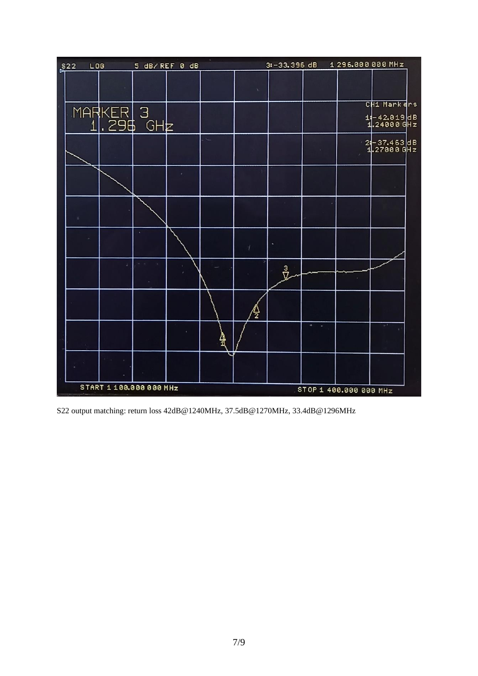

S22 output matching: return loss 42dB@1240MHz, 37.5dB@1270MHz, 33.4dB@1296MHz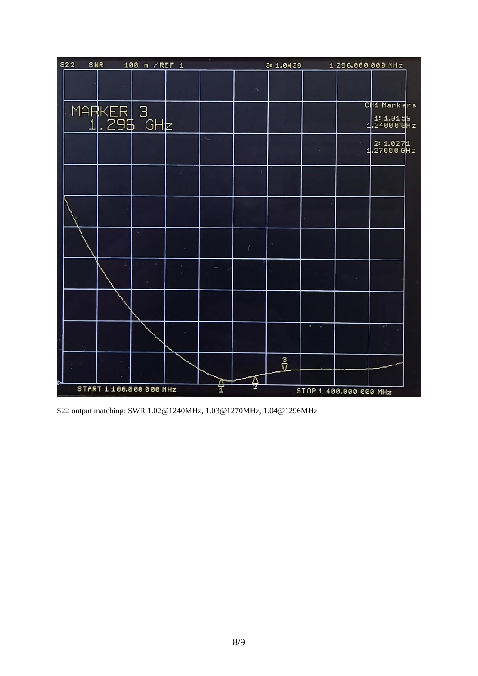|   |                       |                          |   |  | CH1 Markers                |
|---|-----------------------|--------------------------|---|--|----------------------------|
|   |                       |                          |   |  | $1.24000$ GHz              |
|   |                       |                          |   |  | $2: 1.0271$<br>1.27000 GHz |
|   |                       |                          |   |  |                            |
|   |                       |                          |   |  |                            |
| × |                       | $\overline{\mathcal{X}}$ |   |  |                            |
|   |                       |                          |   |  |                            |
|   |                       |                          |   |  |                            |
|   |                       |                          |   |  | p.)                        |
|   | 좝                     | Δ                        | ů |  |                            |
|   | MARKER 3<br>1.296 GHz |                          |   |  |                            |

S22 output matching: SWR 1.02@1240MHz, 1.03@1270MHz, 1.04@1296MHz